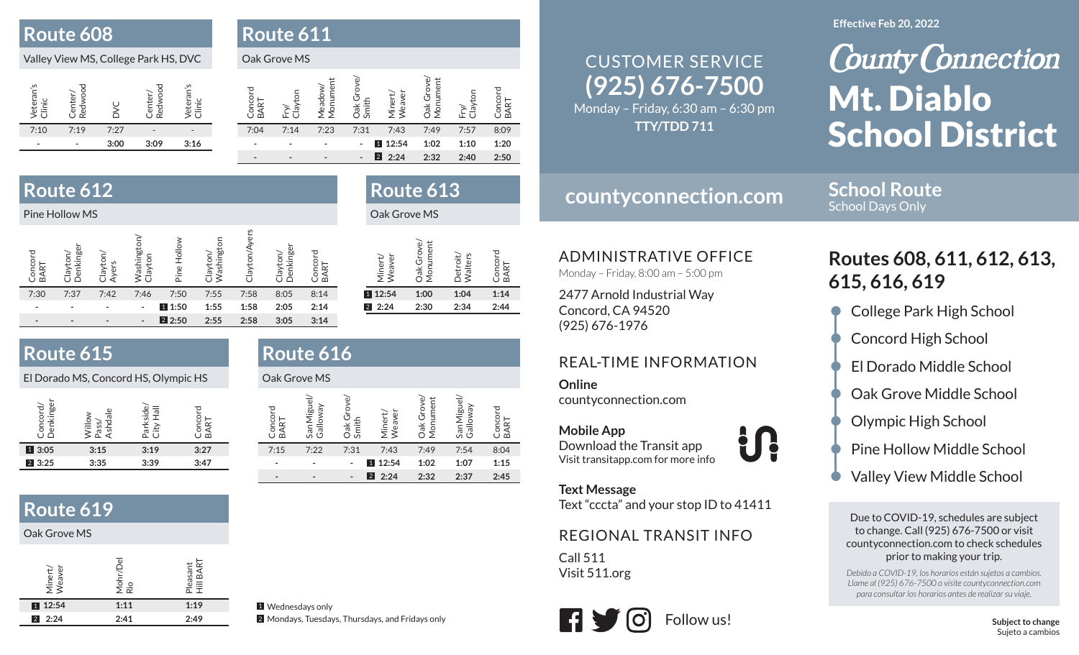### **Route 608**

### Valley View MS, College Park HS, DVC

| eran's<br>Vete<br>÷<br>ក | ັດ   | $\left( \right)$ | è<br>൙ | $\mathsf{C}$<br>ನ |
|--------------------------|------|------------------|--------|-------------------|
| 7:10                     | 7:19 | 7:27             |        |                   |
|                          |      | 3:00             | 3:09   | 3:16              |
|                          |      |                  |        |                   |

| D.<br>ı. | <b>OUT</b> |  |  |  |
|----------|------------|--|--|--|
|          |            |  |  |  |

#### Oak Grove MS

| වි   | ಸ    | Meac<br>Mont | Smi<br>त्त                     | eaver   | त्त<br>⋚ |      | മ്   |  |
|------|------|--------------|--------------------------------|---------|----------|------|------|--|
| 7:04 | 7:14 | 7:23         | 7:31                           | 7:43    | 7:49     | 7:57 | 8:09 |  |
|      |      |              | $\overline{\phantom{a}}$       | 1 12:54 | 1:02     | 1:10 | 1:20 |  |
|      |      |              | 2 <br>$\overline{\phantom{a}}$ | 2:24    | 2:32     | 2:40 | 2:50 |  |

**Route 613**

Detroit/ Walters

**2:24 2:30 2:34 2:44**

Concord Concord<br>BART

 $2:44$ 

**12:54 1:00 1:04 1:14**

## **Route 612**

| Pine Hollow MS  |                          |                  |                                |             |                                 |                     |                     |                          | Oak Grove MS                                                              |
|-----------------|--------------------------|------------------|--------------------------------|-------------|---------------------------------|---------------------|---------------------|--------------------------|---------------------------------------------------------------------------|
| Concord<br>BART | Denkinger<br>λē          | Clayton<br>Ayers | <b>Vashingt</b><br>δ<br>$\geq$ | Pine Hollow | Washington<br>ΘŊ<br>$\geq$<br>U | yers<br>tor<br>ClaV | Denkinge<br>layton/ | 고<br>Concor<br>ART<br>മ് | <b>Dak Grove</b><br>ument<br>উ<br>Minert/<br>Weaver<br>$\bar{\mathsf{S}}$ |
| 7:30            | 7:37                     | 7:42             | 7:46                           | 7:50        | 7:55                            | 7:58                | 8:05                | 8:14                     | 1 12:54<br>1:00                                                           |
|                 | $\overline{\phantom{0}}$ |                  | ٠                              | 1 1:50      | 1:55                            | 1:58                | 2:05                | 2:14                     | 2:30<br> 2 <br>2:24                                                       |
|                 | $\overline{\phantom{0}}$ | ٠                | $\overline{\phantom{a}}$       | 2 2:50      | 2:55                            | 2:58                | 3:05                | 3:14                     |                                                                           |

## **Route 615**

El Dorado MS, Concord HS, Olympic HS

|             | d١<br>$\frac{1}{2}$ | $\overline{\sigma}$ | ΩÓ   |
|-------------|---------------------|---------------------|------|
| 1 3:05      | 3:15                | 3:19                | 3:27 |
| $2 \, 3:25$ | 3:35                | 3:39                | 3:47 |
|             |                     |                     |      |

### **Route 619**

#### Oak Grove MS

| U.<br>Miner<br>Weav | $\omega$<br>Mohr/D<br>Rio | Pleasan<br>Hill BAF |
|---------------------|---------------------------|---------------------|
| 12:54               | 1:11                      | 1:19                |
| 2:24<br>$\vert$ 2   | 2:41                      | 2:49                |

### **Route 616**Oak Grove MS

| J<br>Concol<br>ĄRT<br>മ<br>7:15 | Miguel/<br>Galloway<br>Sār<br>7:22 | Smith<br>Α<br>7:31 | Neaver<br>Minert<br>7:43<br>1 12:54 | ument<br>б<br>Dak Gr<br>Mon<br>7:49<br>1:02 | Miguel/<br>Galloway<br>San<br>7:54<br>1:07 | 8:04<br>1:15 |
|---------------------------------|------------------------------------|--------------------|-------------------------------------|---------------------------------------------|--------------------------------------------|--------------|
|                                 |                                    |                    | $2 \cdot 2.24$                      | 2:32                                        | 2:37                                       | 2:45         |

## **(925) 676-7500** CUSTOMER SERVICE

Monday – Friday, 6:30 am – 6:30 pm **TTY/TDD 711**

#### **Effective Feb 20, 2022**

**School Route**School Days Only

# **County Connection** Mt. Diablo School District

## **countyconnection.com**

ADMINISTRATIVE OFFICE

Monday – Friday, 8:00 am – 5:00 pm

2477 Arnold Industrial Way Concord, CA 94520 (925) 676-1976

### REAL-TIME INFORMATION

**Online**countyconnection.com

**Mobile App** Download the Transit app Visit transitapp.com for more info

**Text Message**

Text "cccta" and your stop ID to 41411

**U.** 

### REGIONAL TRANSIT INFO

Call 511Visit 511.org



## **Routes 608, 611, 612, 613, 615, 616, 619**

- College Park High School
- Concord High School
- El Dorado Middle School
- Oak Grove Middle School
- Olympic High School
- Pine Hollow Middle School
- Valley View Middle School

Due to COVID-19, schedules are subject to change. Call (925) 676-7500 or visit countyconnection.com to check schedules prior to making your trip.

*Debido a COVID-19, los horarios están sujetos a cambios. Llame al (925) 676-7500 o visite countyconnection.com para consultar los horarios antes de realizar su viaje.*

1 Wednesdays only 2 Mondays, Tuesdays, Thursdays, and Fridays only